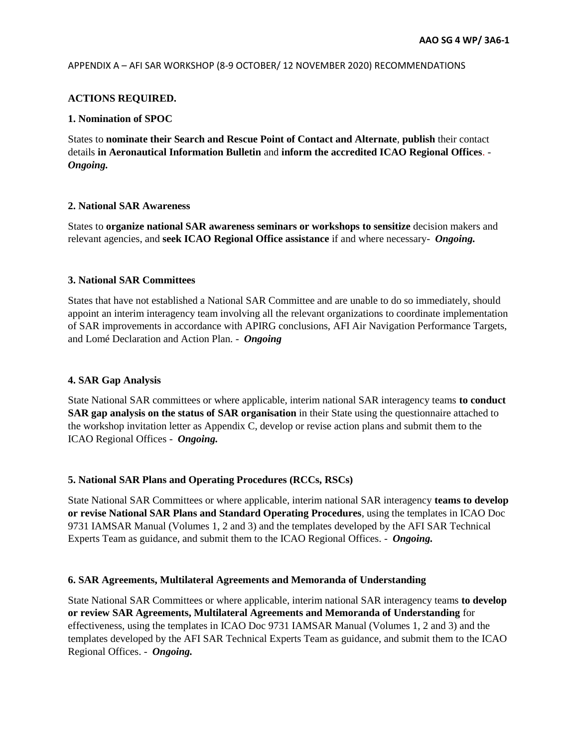APPENDIX A – AFI SAR WORKSHOP (8-9 OCTOBER/ 12 NOVEMBER 2020) RECOMMENDATIONS

# **ACTIONS REQUIRED.**

## **1. Nomination of SPOC**

States to **nominate their Search and Rescue Point of Contact and Alternate**, **publish** their contact details **in Aeronautical Information Bulletin** and **inform the accredited ICAO Regional Offices**. - *Ongoing.*

### **2. National SAR Awareness**

States to **organize national SAR awareness seminars or workshops to sensitize** decision makers and relevant agencies, and **seek ICAO Regional Office assistance** if and where necessary- *Ongoing.*

## **3. National SAR Committees**

States that have not established a National SAR Committee and are unable to do so immediately, should appoint an interim interagency team involving all the relevant organizations to coordinate implementation of SAR improvements in accordance with APIRG conclusions, AFI Air Navigation Performance Targets, and Lomé Declaration and Action Plan. - *Ongoing*

# **4. SAR Gap Analysis**

State National SAR committees or where applicable, interim national SAR interagency teams **to conduct SAR gap analysis on the status of SAR organisation** in their State using the questionnaire attached to the workshop invitation letter as Appendix C, develop or revise action plans and submit them to the ICAO Regional Offices - *Ongoing.*

# **5. National SAR Plans and Operating Procedures (RCCs, RSCs)**

State National SAR Committees or where applicable, interim national SAR interagency **teams to develop or revise National SAR Plans and Standard Operating Procedures**, using the templates in ICAO Doc 9731 IAMSAR Manual (Volumes 1, 2 and 3) and the templates developed by the AFI SAR Technical Experts Team as guidance, and submit them to the ICAO Regional Offices. - *Ongoing.*

### **6. SAR Agreements, Multilateral Agreements and Memoranda of Understanding**

State National SAR Committees or where applicable, interim national SAR interagency teams **to develop or review SAR Agreements, Multilateral Agreements and Memoranda of Understanding** for effectiveness, using the templates in ICAO Doc 9731 IAMSAR Manual (Volumes 1, 2 and 3) and the templates developed by the AFI SAR Technical Experts Team as guidance, and submit them to the ICAO Regional Offices. - *Ongoing.*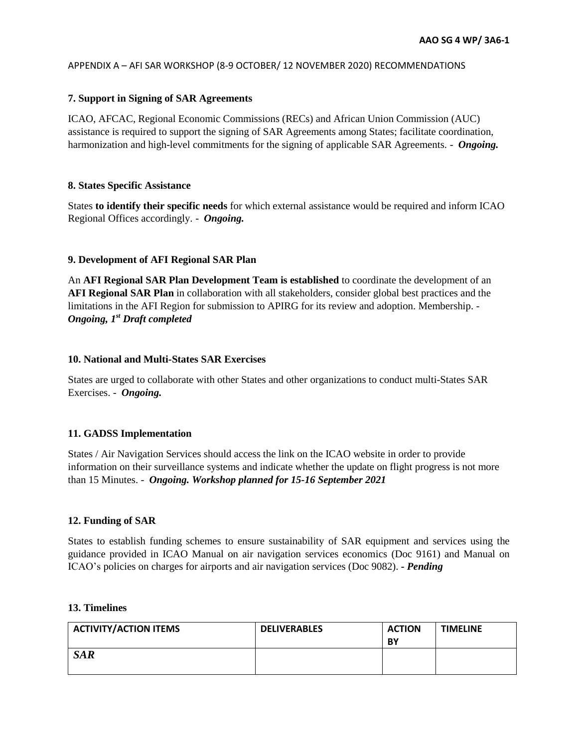## APPENDIX A – AFI SAR WORKSHOP (8-9 OCTOBER/ 12 NOVEMBER 2020) RECOMMENDATIONS

# **7. Support in Signing of SAR Agreements**

ICAO, AFCAC, Regional Economic Commissions (RECs) and African Union Commission (AUC) assistance is required to support the signing of SAR Agreements among States; facilitate coordination, harmonization and high-level commitments for the signing of applicable SAR Agreements. - *Ongoing.*

## **8. States Specific Assistance**

States **to identify their specific needs** for which external assistance would be required and inform ICAO Regional Offices accordingly. - *Ongoing.*

# **9. Development of AFI Regional SAR Plan**

An **AFI Regional SAR Plan Development Team is established** to coordinate the development of an **AFI Regional SAR Plan** in collaboration with all stakeholders, consider global best practices and the limitations in the AFI Region for submission to APIRG for its review and adoption. Membership. - *Ongoing, 1st Draft completed*

## **10. National and Multi-States SAR Exercises**

States are urged to collaborate with other States and other organizations to conduct multi-States SAR Exercises. - *Ongoing.*

# **11. GADSS Implementation**

States / Air Navigation Services should access the link on the ICAO website in order to provide information on their surveillance systems and indicate whether the update on flight progress is not more than 15 Minutes. - *Ongoing. Workshop planned for 15-16 September 2021*

### **12. Funding of SAR**

States to establish funding schemes to ensure sustainability of SAR equipment and services using the guidance provided in ICAO Manual on air navigation services economics (Doc 9161) and Manual on ICAO's policies on charges for airports and air navigation services (Doc 9082). *- Pending*

## **13. Timelines**

| <b>ACTIVITY/ACTION ITEMS</b> | <b>DELIVERABLES</b> | <b>ACTION</b><br>BY | <b>TIMELINE</b> |
|------------------------------|---------------------|---------------------|-----------------|
| <b>SAR</b>                   |                     |                     |                 |